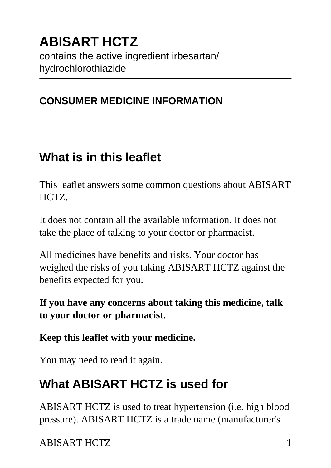# **ABISART HCTZ** contains the active ingredient irbesartan/ hydrochlorothiazide

## **CONSUMER MEDICINE INFORMATION**

# **What is in this leaflet**

This leaflet answers some common questions about ABISART HCTZ.

It does not contain all the available information. It does not take the place of talking to your doctor or pharmacist.

All medicines have benefits and risks. Your doctor has weighed the risks of you taking ABISART HCTZ against the benefits expected for you.

**If you have any concerns about taking this medicine, talk to your doctor or pharmacist.**

**Keep this leaflet with your medicine.**

You may need to read it again.

# **What ABISART HCTZ is used for**

ABISART HCTZ is used to treat hypertension (i.e. high blood pressure). ABISART HCTZ is a trade name (manufacturer's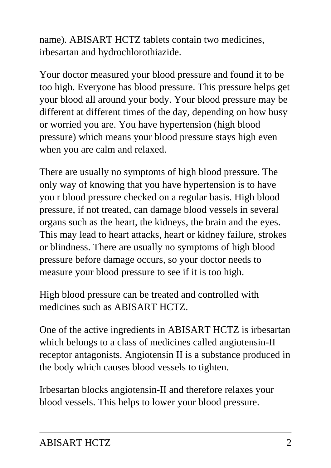name). ABISART HCTZ tablets contain two medicines, irbesartan and hydrochlorothiazide.

Your doctor measured your blood pressure and found it to be too high. Everyone has blood pressure. This pressure helps get your blood all around your body. Your blood pressure may be different at different times of the day, depending on how busy or worried you are. You have hypertension (high blood pressure) which means your blood pressure stays high even when you are calm and relaxed.

There are usually no symptoms of high blood pressure. The only way of knowing that you have hypertension is to have you r blood pressure checked on a regular basis. High blood pressure, if not treated, can damage blood vessels in several organs such as the heart, the kidneys, the brain and the eyes. This may lead to heart attacks, heart or kidney failure, strokes or blindness. There are usually no symptoms of high blood pressure before damage occurs, so your doctor needs to measure your blood pressure to see if it is too high.

High blood pressure can be treated and controlled with medicines such as ABISART HCTZ.

One of the active ingredients in ABISART HCTZ is irbesartan which belongs to a class of medicines called angiotensin-II receptor antagonists. Angiotensin II is a substance produced in the body which causes blood vessels to tighten.

Irbesartan blocks angiotensin-II and therefore relaxes your blood vessels. This helps to lower your blood pressure.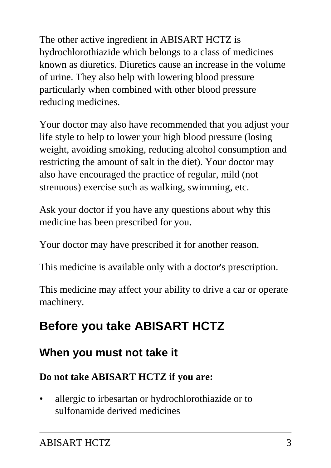The other active ingredient in ABISART HCTZ is hydrochlorothiazide which belongs to a class of medicines known as diuretics. Diuretics cause an increase in the volume of urine. They also help with lowering blood pressure particularly when combined with other blood pressure reducing medicines.

Your doctor may also have recommended that you adjust your life style to help to lower your high blood pressure (losing weight, avoiding smoking, reducing alcohol consumption and restricting the amount of salt in the diet). Your doctor may also have encouraged the practice of regular, mild (not strenuous) exercise such as walking, swimming, etc.

Ask your doctor if you have any questions about why this medicine has been prescribed for you.

Your doctor may have prescribed it for another reason.

This medicine is available only with a doctor's prescription.

This medicine may affect your ability to drive a car or operate machinery.

# **Before you take ABISART HCTZ**

# **When you must not take it**

#### **Do not take ABISART HCTZ if you are:**

• allergic to irbesartan or hydrochlorothiazide or to sulfonamide derived medicines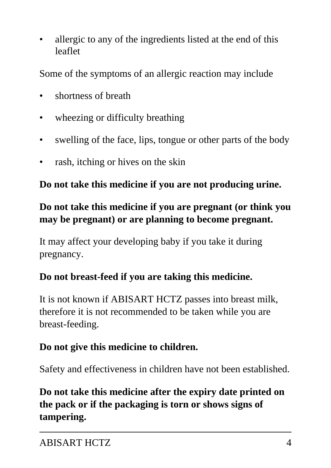• allergic to any of the ingredients listed at the end of this leaflet

Some of the symptoms of an allergic reaction may include

- shortness of breath
- wheezing or difficulty breathing
- swelling of the face, lips, tongue or other parts of the body
- rash, itching or hives on the skin

**Do not take this medicine if you are not producing urine.**

## **Do not take this medicine if you are pregnant (or think you may be pregnant) or are planning to become pregnant.**

It may affect your developing baby if you take it during pregnancy.

#### **Do not breast-feed if you are taking this medicine.**

It is not known if ABISART HCTZ passes into breast milk, therefore it is not recommended to be taken while you are breast-feeding.

#### **Do not give this medicine to children.**

Safety and effectiveness in children have not been established.

## **Do not take this medicine after the expiry date printed on the pack or if the packaging is torn or shows signs of tampering.**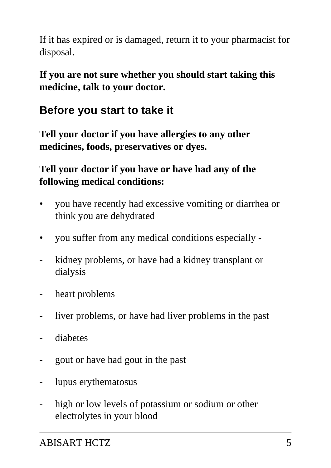If it has expired or is damaged, return it to your pharmacist for disposal.

**If you are not sure whether you should start taking this medicine, talk to your doctor.**

# **Before you start to take it**

**Tell your doctor if you have allergies to any other medicines, foods, preservatives or dyes.**

## **Tell your doctor if you have or have had any of the following medical conditions:**

- you have recently had excessive vomiting or diarrhea or think you are dehydrated
- you suffer from any medical conditions especially -
- kidney problems, or have had a kidney transplant or dialysis
- heart problems
- liver problems, or have had liver problems in the past
- diabetes
- gout or have had gout in the past
- lupus erythematosus
- high or low levels of potassium or sodium or other electrolytes in your blood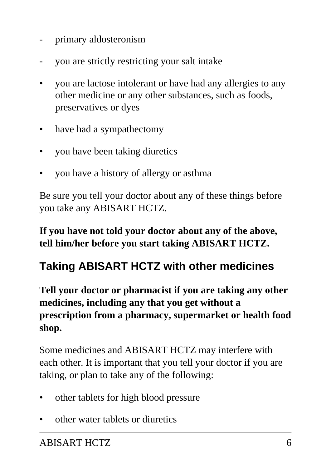- primary aldosteronism
- you are strictly restricting your salt intake
- you are lactose intolerant or have had any allergies to any other medicine or any other substances, such as foods, preservatives or dyes
- have had a sympathectomy
- you have been taking diuretics
- you have a history of allergy or asthma

Be sure you tell your doctor about any of these things before you take any ABISART HCTZ.

**If you have not told your doctor about any of the above, tell him/her before you start taking ABISART HCTZ.**

# **Taking ABISART HCTZ with other medicines**

**Tell your doctor or pharmacist if you are taking any other medicines, including any that you get without a prescription from a pharmacy, supermarket or health food shop.**

Some medicines and ABISART HCTZ may interfere with each other. It is important that you tell your doctor if you are taking, or plan to take any of the following:

- other tablets for high blood pressure
- other water tablets or diuretics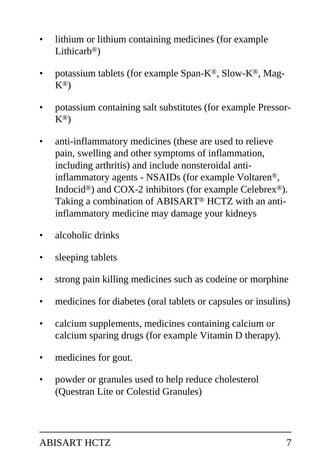- lithium or lithium containing medicines (for example Lithicarb<sup>®</sup>)
- potassium tablets (for example Span-K®, Slow-K®, Mag-K®)
- potassium containing salt substitutes (for example Pressor- $K^{\circledR}$
- anti-inflammatory medicines (these are used to relieve pain, swelling and other symptoms of inflammation, including arthritis) and include nonsteroidal antiinflammatory agents - NSAIDs (for example Voltaren®, Indocid®) and COX-2 inhibitors (for example Celebrex®). Taking a combination of ABISART® HCTZ with an antiinflammatory medicine may damage your kidneys
- alcoholic drinks
- sleeping tablets
- strong pain killing medicines such as codeine or morphine
- medicines for diabetes (oral tablets or capsules or insulins)
- calcium supplements, medicines containing calcium or calcium sparing drugs (for example Vitamin D therapy).
- medicines for gout.
- powder or granules used to help reduce cholesterol (Questran Lite or Colestid Granules)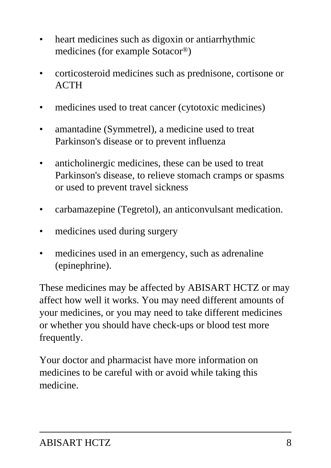- heart medicines such as digoxin or antiarrhythmic medicines (for example Sotacor®)
- corticosteroid medicines such as prednisone, cortisone or **ACTH**
- medicines used to treat cancer (cytotoxic medicines)
- amantadine (Symmetrel), a medicine used to treat Parkinson's disease or to prevent influenza
- anticholinergic medicines, these can be used to treat Parkinson's disease, to relieve stomach cramps or spasms or used to prevent travel sickness
- carbamazepine (Tegretol), an anticonvulsant medication.
- medicines used during surgery
- medicines used in an emergency, such as adrenaline (epinephrine).

These medicines may be affected by ABISART HCTZ or may affect how well it works. You may need different amounts of your medicines, or you may need to take different medicines or whether you should have check-ups or blood test more frequently.

Your doctor and pharmacist have more information on medicines to be careful with or avoid while taking this medicine.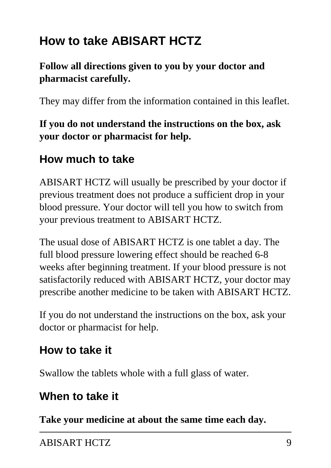# **How to take ABISART HCTZ**

## **Follow all directions given to you by your doctor and pharmacist carefully.**

They may differ from the information contained in this leaflet.

**If you do not understand the instructions on the box, ask your doctor or pharmacist for help.**

# **How much to take**

ABISART HCTZ will usually be prescribed by your doctor if previous treatment does not produce a sufficient drop in your blood pressure. Your doctor will tell you how to switch from your previous treatment to ABISART HCTZ.

The usual dose of ABISART HCTZ is one tablet a day. The full blood pressure lowering effect should be reached 6-8 weeks after beginning treatment. If your blood pressure is not satisfactorily reduced with ABISART HCTZ, your doctor may prescribe another medicine to be taken with ABISART HCTZ.

If you do not understand the instructions on the box, ask your doctor or pharmacist for help.

# **How to take it**

Swallow the tablets whole with a full glass of water.

# **When to take it**

**Take your medicine at about the same time each day.**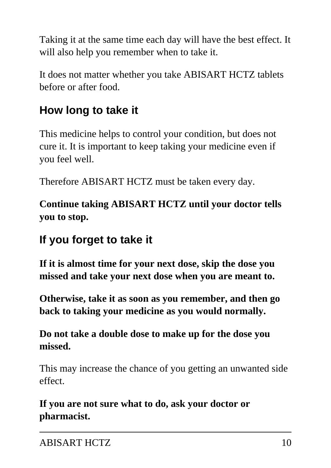Taking it at the same time each day will have the best effect. It will also help you remember when to take it.

It does not matter whether you take ABISART HCTZ tablets before or after food.

# **How long to take it**

This medicine helps to control your condition, but does not cure it. It is important to keep taking your medicine even if you feel well.

Therefore ABISART HCTZ must be taken every day.

**Continue taking ABISART HCTZ until your doctor tells you to stop.**

# **If you forget to take it**

**If it is almost time for your next dose, skip the dose you missed and take your next dose when you are meant to.**

**Otherwise, take it as soon as you remember, and then go back to taking your medicine as you would normally.**

## **Do not take a double dose to make up for the dose you missed.**

This may increase the chance of you getting an unwanted side effect.

**If you are not sure what to do, ask your doctor or pharmacist.**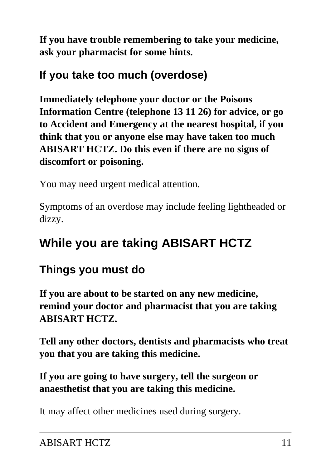**If you have trouble remembering to take your medicine, ask your pharmacist for some hints.**

# **If you take too much (overdose)**

**Immediately telephone your doctor or the Poisons Information Centre (telephone 13 11 26) for advice, or go to Accident and Emergency at the nearest hospital, if you think that you or anyone else may have taken too much ABISART HCTZ. Do this even if there are no signs of discomfort or poisoning.**

You may need urgent medical attention.

Symptoms of an overdose may include feeling lightheaded or dizzy.

# **While you are taking ABISART HCTZ**

# **Things you must do**

**If you are about to be started on any new medicine, remind your doctor and pharmacist that you are taking ABISART HCTZ.**

**Tell any other doctors, dentists and pharmacists who treat you that you are taking this medicine.**

**If you are going to have surgery, tell the surgeon or anaesthetist that you are taking this medicine.**

It may affect other medicines used during surgery.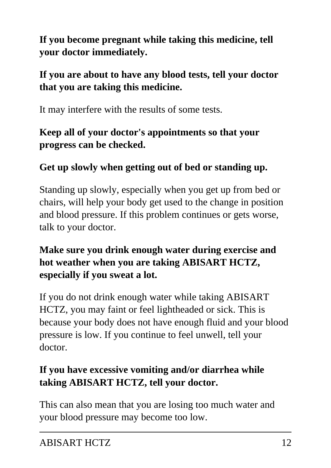**If you become pregnant while taking this medicine, tell your doctor immediately.**

## **If you are about to have any blood tests, tell your doctor that you are taking this medicine.**

It may interfere with the results of some tests.

## **Keep all of your doctor's appointments so that your progress can be checked.**

## **Get up slowly when getting out of bed or standing up.**

Standing up slowly, especially when you get up from bed or chairs, will help your body get used to the change in position and blood pressure. If this problem continues or gets worse, talk to your doctor.

## **Make sure you drink enough water during exercise and hot weather when you are taking ABISART HCTZ, especially if you sweat a lot.**

If you do not drink enough water while taking ABISART HCTZ, you may faint or feel lightheaded or sick. This is because your body does not have enough fluid and your blood pressure is low. If you continue to feel unwell, tell your doctor.

## **If you have excessive vomiting and/or diarrhea while taking ABISART HCTZ, tell your doctor.**

This can also mean that you are losing too much water and your blood pressure may become too low.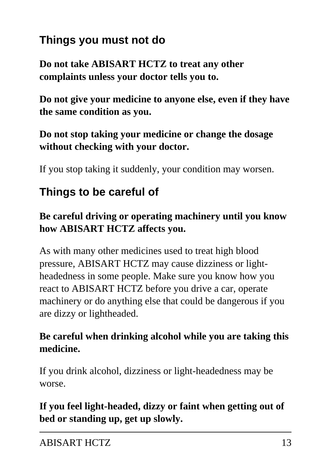# **Things you must not do**

**Do not take ABISART HCTZ to treat any other complaints unless your doctor tells you to.**

**Do not give your medicine to anyone else, even if they have the same condition as you.**

#### **Do not stop taking your medicine or change the dosage without checking with your doctor.**

If you stop taking it suddenly, your condition may worsen.

# **Things to be careful of**

## **Be careful driving or operating machinery until you know how ABISART HCTZ affects you.**

As with many other medicines used to treat high blood pressure, ABISART HCTZ may cause dizziness or lightheadedness in some people. Make sure you know how you react to ABISART HCTZ before you drive a car, operate machinery or do anything else that could be dangerous if you are dizzy or lightheaded.

## **Be careful when drinking alcohol while you are taking this medicine.**

If you drink alcohol, dizziness or light-headedness may be worse.

## **If you feel light-headed, dizzy or faint when getting out of bed or standing up, get up slowly.**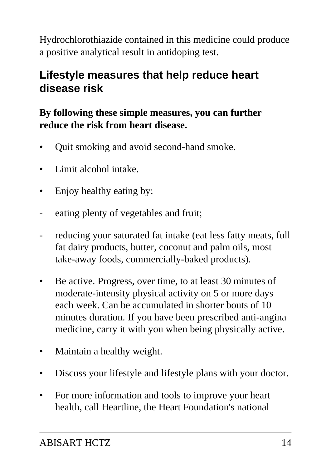Hydrochlorothiazide contained in this medicine could produce a positive analytical result in antidoping test.

# **Lifestyle measures that help reduce heart disease risk**

## **By following these simple measures, you can further reduce the risk from heart disease.**

- Quit smoking and avoid second-hand smoke.
- Limit alcohol intake.
- Enjoy healthy eating by:
- eating plenty of vegetables and fruit;
- reducing your saturated fat intake (eat less fatty meats, full fat dairy products, butter, coconut and palm oils, most take-away foods, commercially-baked products).
- Be active. Progress, over time, to at least 30 minutes of moderate-intensity physical activity on 5 or more days each week. Can be accumulated in shorter bouts of 10 minutes duration. If you have been prescribed anti-angina medicine, carry it with you when being physically active.
- Maintain a healthy weight.
- Discuss your lifestyle and lifestyle plans with your doctor.
- For more information and tools to improve your heart health, call Heartline, the Heart Foundation's national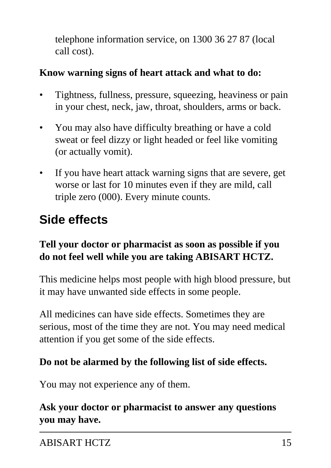telephone information service, on 1300 36 27 87 (local call cost).

#### **Know warning signs of heart attack and what to do:**

- Tightness, fullness, pressure, squeezing, heaviness or pain in your chest, neck, jaw, throat, shoulders, arms or back.
- You may also have difficulty breathing or have a cold sweat or feel dizzy or light headed or feel like vomiting (or actually vomit).
- If you have heart attack warning signs that are severe, get worse or last for 10 minutes even if they are mild, call triple zero (000). Every minute counts.

# **Side effects**

## **Tell your doctor or pharmacist as soon as possible if you do not feel well while you are taking ABISART HCTZ.**

This medicine helps most people with high blood pressure, but it may have unwanted side effects in some people.

All medicines can have side effects. Sometimes they are serious, most of the time they are not. You may need medical attention if you get some of the side effects.

#### **Do not be alarmed by the following list of side effects.**

You may not experience any of them.

**Ask your doctor or pharmacist to answer any questions you may have.**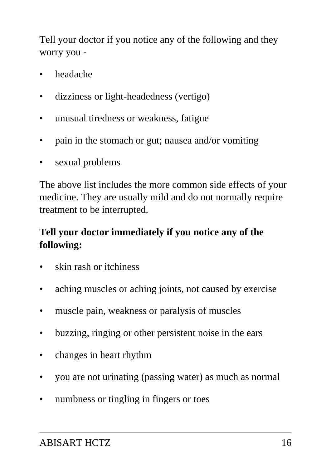Tell your doctor if you notice any of the following and they worry you -

- headache
- dizziness or light-headedness (vertigo)
- unusual tiredness or weakness, fatigue
- pain in the stomach or gut; nausea and/or vomiting
- sexual problems

The above list includes the more common side effects of your medicine. They are usually mild and do not normally require treatment to be interrupted.

## **Tell your doctor immediately if you notice any of the following:**

- skin rash or itchiness
- aching muscles or aching joints, not caused by exercise
- muscle pain, weakness or paralysis of muscles
- buzzing, ringing or other persistent noise in the ears
- changes in heart rhythm
- you are not urinating (passing water) as much as normal
- numbness or tingling in fingers or toes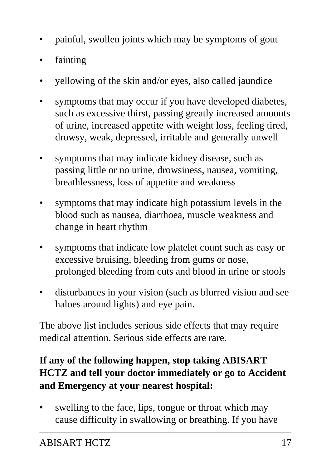- painful, swollen joints which may be symptoms of gout
- fainting
- yellowing of the skin and/or eyes, also called jaundice
- symptoms that may occur if you have developed diabetes, such as excessive thirst, passing greatly increased amounts of urine, increased appetite with weight loss, feeling tired, drowsy, weak, depressed, irritable and generally unwell
- symptoms that may indicate kidney disease, such as passing little or no urine, drowsiness, nausea, vomiting, breathlessness, loss of appetite and weakness
- symptoms that may indicate high potassium levels in the blood such as nausea, diarrhoea, muscle weakness and change in heart rhythm
- symptoms that indicate low platelet count such as easy or excessive bruising, bleeding from gums or nose, prolonged bleeding from cuts and blood in urine or stools
- disturbances in your vision (such as blurred vision and see haloes around lights) and eye pain.

The above list includes serious side effects that may require medical attention. Serious side effects are rare.

## **If any of the following happen, stop taking ABISART HCTZ and tell your doctor immediately or go to Accident and Emergency at your nearest hospital:**

swelling to the face, lips, tongue or throat which may cause difficulty in swallowing or breathing. If you have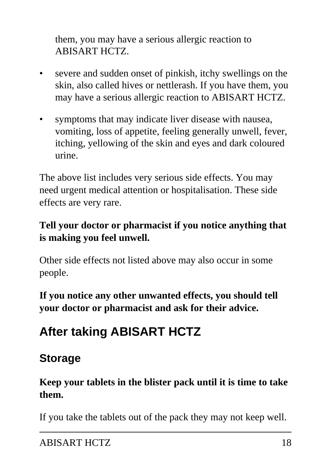them, you may have a serious allergic reaction to ABISART HCTZ.

- severe and sudden onset of pinkish, itchy swellings on the skin, also called hives or nettlerash. If you have them, you may have a serious allergic reaction to ABISART HCTZ.
- symptoms that may indicate liver disease with nausea, vomiting, loss of appetite, feeling generally unwell, fever, itching, yellowing of the skin and eyes and dark coloured urine.

The above list includes very serious side effects. You may need urgent medical attention or hospitalisation. These side effects are very rare.

## **Tell your doctor or pharmacist if you notice anything that is making you feel unwell.**

Other side effects not listed above may also occur in some people.

**If you notice any other unwanted effects, you should tell your doctor or pharmacist and ask for their advice.**

# **After taking ABISART HCTZ**

# **Storage**

## **Keep your tablets in the blister pack until it is time to take them.**

If you take the tablets out of the pack they may not keep well.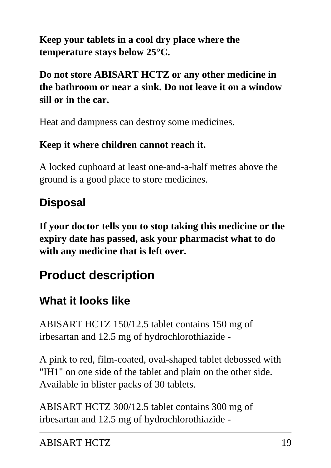**Keep your tablets in a cool dry place where the temperature stays below 25°C.**

**Do not store ABISART HCTZ or any other medicine in the bathroom or near a sink. Do not leave it on a window sill or in the car.**

Heat and dampness can destroy some medicines.

## **Keep it where children cannot reach it.**

A locked cupboard at least one-and-a-half metres above the ground is a good place to store medicines.

# **Disposal**

**If your doctor tells you to stop taking this medicine or the expiry date has passed, ask your pharmacist what to do with any medicine that is left over.**

# **Product description**

# **What it looks like**

ABISART HCTZ 150/12.5 tablet contains 150 mg of irbesartan and 12.5 mg of hydrochlorothiazide -

A pink to red, film-coated, oval-shaped tablet debossed with "IH1" on one side of the tablet and plain on the other side. Available in blister packs of 30 tablets.

ABISART HCTZ 300/12.5 tablet contains 300 mg of irbesartan and 12.5 mg of hydrochlorothiazide -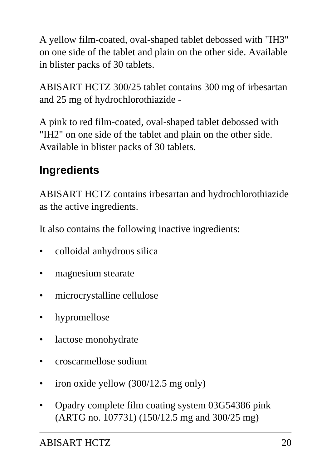A yellow film-coated, oval-shaped tablet debossed with "IH3" on one side of the tablet and plain on the other side. Available in blister packs of 30 tablets.

ABISART HCTZ 300/25 tablet contains 300 mg of irbesartan and 25 mg of hydrochlorothiazide -

A pink to red film-coated, oval-shaped tablet debossed with "IH2" on one side of the tablet and plain on the other side. Available in blister packs of 30 tablets.

# **Ingredients**

ABISART HCTZ contains irbesartan and hydrochlorothiazide as the active ingredients.

It also contains the following inactive ingredients:

- colloidal anhydrous silica
- magnesium stearate
- microcrystalline cellulose
- hypromellose
- lactose monohydrate
- croscarmellose sodium
- iron oxide yellow (300/12.5 mg only)
- Opadry complete film coating system 03G54386 pink (ARTG no. 107731) (150/12.5 mg and 300/25 mg)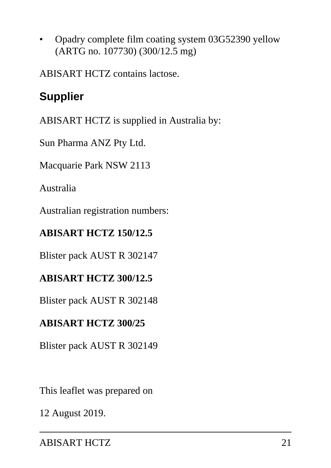• Opadry complete film coating system 03G52390 yellow (ARTG no. 107730) (300/12.5 mg)

ABISART HCTZ contains lactose.

# **Supplier**

ABISART HCTZ is supplied in Australia by:

Sun Pharma ANZ Pty Ltd.

Macquarie Park NSW 2113

Australia

Australian registration numbers:

## **ABISART HCTZ 150/12.5**

Blister pack AUST R 302147

#### **ABISART HCTZ 300/12.5**

Blister pack AUST R 302148

## **ABISART HCTZ 300/25**

Blister pack AUST R 302149

This leaflet was prepared on

12 August 2019.